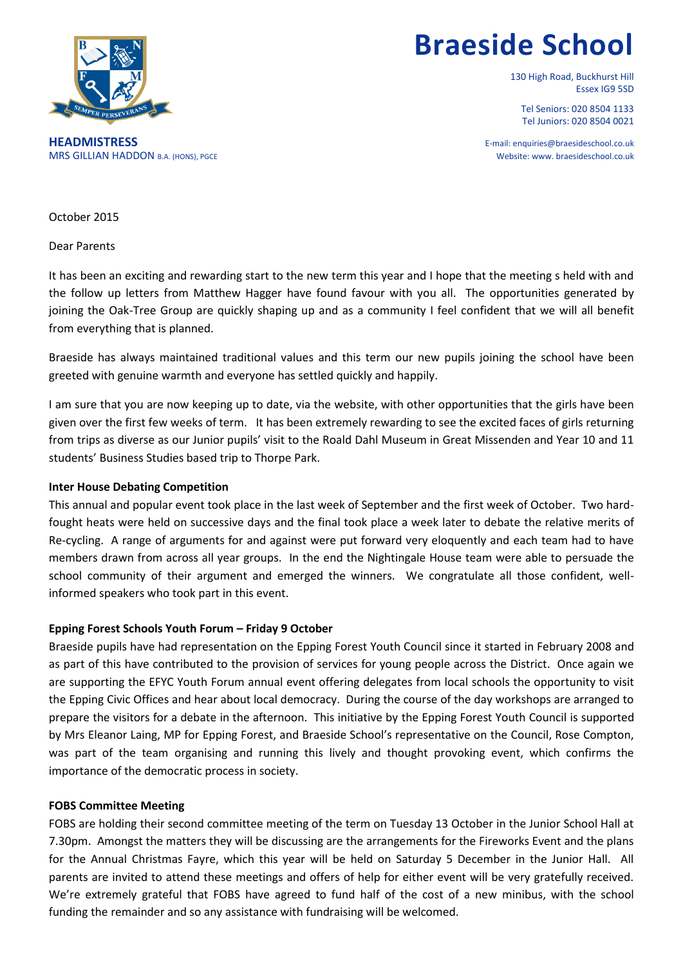

# **Braeside School**

130 High Road, Buckhurst Hill Essex IG9 5SD

Tel Seniors: 020 8504 1133 Tel Juniors: 020 8504 0021

**HEADMISTRESS** E-mail: enquiries@braesideschool.co.uk MRS GILLIAN HADDON B.A. (HONS), PGCE THE STATE OF THE SECOND BLACK ON A SECONDUCT AND RESIDENCE ON A SECONDARY OF THE SECOND MEDICAL OF THE STATE OF THE SECOND BLACK ON A SECOND BLACK ON A SECONDUCT AND RESIDENCE ON A SECO

October 2015

Dear Parents

It has been an exciting and rewarding start to the new term this year and I hope that the meeting s held with and the follow up letters from Matthew Hagger have found favour with you all. The opportunities generated by joining the Oak-Tree Group are quickly shaping up and as a community I feel confident that we will all benefit from everything that is planned.

Braeside has always maintained traditional values and this term our new pupils joining the school have been greeted with genuine warmth and everyone has settled quickly and happily.

I am sure that you are now keeping up to date, via the website, with other opportunities that the girls have been given over the first few weeks of term. It has been extremely rewarding to see the excited faces of girls returning from trips as diverse as our Junior pupils' visit to the Roald Dahl Museum in Great Missenden and Year 10 and 11 students' Business Studies based trip to Thorpe Park.

#### **Inter House Debating Competition**

This annual and popular event took place in the last week of September and the first week of October. Two hardfought heats were held on successive days and the final took place a week later to debate the relative merits of Re-cycling. A range of arguments for and against were put forward very eloquently and each team had to have members drawn from across all year groups. In the end the Nightingale House team were able to persuade the school community of their argument and emerged the winners. We congratulate all those confident, wellinformed speakers who took part in this event.

#### **Epping Forest Schools Youth Forum – Friday 9 October**

Braeside pupils have had representation on the Epping Forest Youth Council since it started in February 2008 and as part of this have contributed to the provision of services for young people across the District. Once again we are supporting the EFYC Youth Forum annual event offering delegates from local schools the opportunity to visit the Epping Civic Offices and hear about local democracy. During the course of the day workshops are arranged to prepare the visitors for a debate in the afternoon. This initiative by the Epping Forest Youth Council is supported by Mrs Eleanor Laing, MP for Epping Forest, and Braeside School's representative on the Council, Rose Compton, was part of the team organising and running this lively and thought provoking event, which confirms the importance of the democratic process in society.

#### **FOBS Committee Meeting**

FOBS are holding their second committee meeting of the term on Tuesday 13 October in the Junior School Hall at 7.30pm. Amongst the matters they will be discussing are the arrangements for the Fireworks Event and the plans for the Annual Christmas Fayre, which this year will be held on Saturday 5 December in the Junior Hall. All parents are invited to attend these meetings and offers of help for either event will be very gratefully received. We're extremely grateful that FOBS have agreed to fund half of the cost of a new minibus, with the school funding the remainder and so any assistance with fundraising will be welcomed.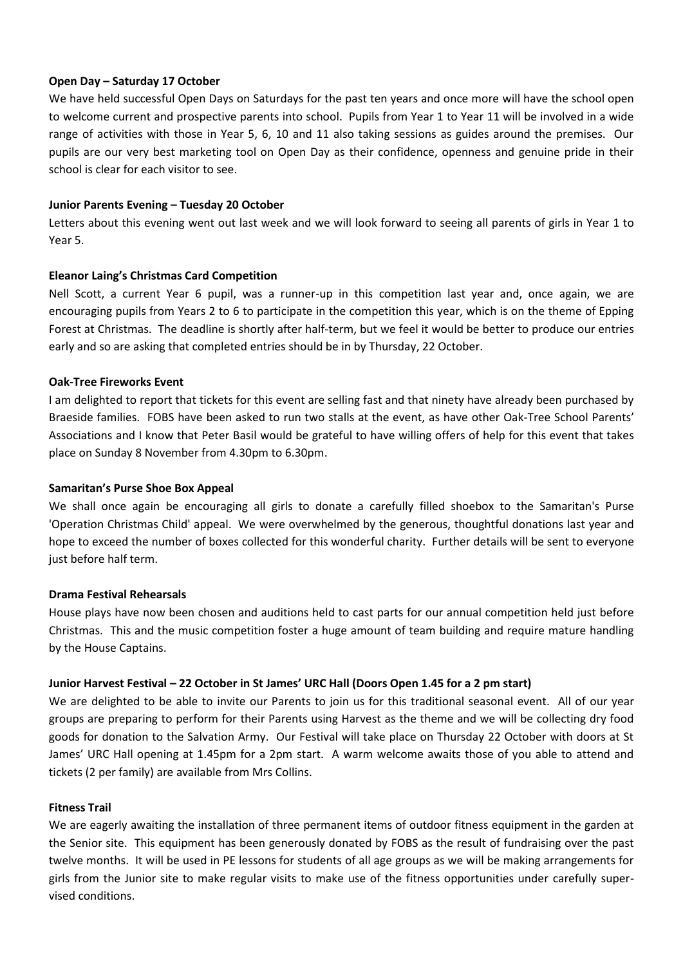## **Open Day – Saturday 17 October**

We have held successful Open Days on Saturdays for the past ten years and once more will have the school open to welcome current and prospective parents into school. Pupils from Year 1 to Year 11 will be involved in a wide range of activities with those in Year 5, 6, 10 and 11 also taking sessions as guides around the premises. Our pupils are our very best marketing tool on Open Day as their confidence, openness and genuine pride in their school is clear for each visitor to see.

## **Junior Parents Evening – Tuesday 20 October**

Letters about this evening went out last week and we will look forward to seeing all parents of girls in Year 1 to Year 5.

## **Eleanor Laing's Christmas Card Competition**

Nell Scott, a current Year 6 pupil, was a runner-up in this competition last year and, once again, we are encouraging pupils from Years 2 to 6 to participate in the competition this year, which is on the theme of Epping Forest at Christmas. The deadline is shortly after half-term, but we feel it would be better to produce our entries early and so are asking that completed entries should be in by Thursday, 22 October.

## **Oak-Tree Fireworks Event**

I am delighted to report that tickets for this event are selling fast and that ninety have already been purchased by Braeside families. FOBS have been asked to run two stalls at the event, as have other Oak-Tree School Parents' Associations and I know that Peter Basil would be grateful to have willing offers of help for this event that takes place on Sunday 8 November from 4.30pm to 6.30pm.

#### **Samaritan's Purse Shoe Box Appeal**

We shall once again be encouraging all girls to donate a carefully filled shoebox to the Samaritan's Purse 'Operation Christmas Child' appeal. We were overwhelmed by the generous, thoughtful donations last year and hope to exceed the number of boxes collected for this wonderful charity. Further details will be sent to everyone just before half term.

#### **Drama Festival Rehearsals**

House plays have now been chosen and auditions held to cast parts for our annual competition held just before Christmas. This and the music competition foster a huge amount of team building and require mature handling by the House Captains.

## **Junior Harvest Festival – 22 October in St James' URC Hall (Doors Open 1.45 for a 2 pm start)**

We are delighted to be able to invite our Parents to join us for this traditional seasonal event. All of our year groups are preparing to perform for their Parents using Harvest as the theme and we will be collecting dry food goods for donation to the Salvation Army. Our Festival will take place on Thursday 22 October with doors at St James' URC Hall opening at 1.45pm for a 2pm start. A warm welcome awaits those of you able to attend and tickets (2 per family) are available from Mrs Collins.

#### **Fitness Trail**

We are eagerly awaiting the installation of three permanent items of outdoor fitness equipment in the garden at the Senior site. This equipment has been generously donated by FOBS as the result of fundraising over the past twelve months. It will be used in PE lessons for students of all age groups as we will be making arrangements for girls from the Junior site to make regular visits to make use of the fitness opportunities under carefully supervised conditions.